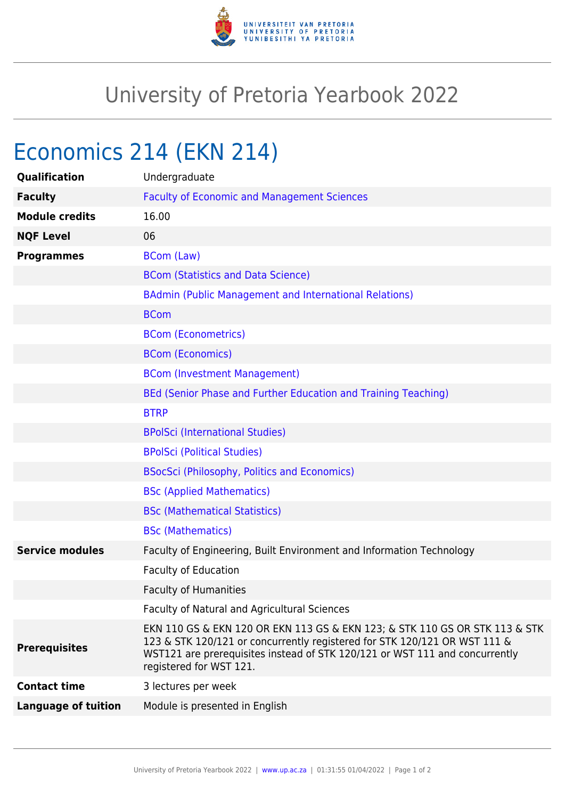

# University of Pretoria Yearbook 2022

# Economics 214 (EKN 214)

| Qualification              | Undergraduate                                                                                                                                                                                                                                                      |
|----------------------------|--------------------------------------------------------------------------------------------------------------------------------------------------------------------------------------------------------------------------------------------------------------------|
| <b>Faculty</b>             | <b>Faculty of Economic and Management Sciences</b>                                                                                                                                                                                                                 |
| <b>Module credits</b>      | 16.00                                                                                                                                                                                                                                                              |
| <b>NQF Level</b>           | 06                                                                                                                                                                                                                                                                 |
| <b>Programmes</b>          | <b>BCom (Law)</b>                                                                                                                                                                                                                                                  |
|                            | <b>BCom (Statistics and Data Science)</b>                                                                                                                                                                                                                          |
|                            | BAdmin (Public Management and International Relations)                                                                                                                                                                                                             |
|                            | <b>BCom</b>                                                                                                                                                                                                                                                        |
|                            | <b>BCom (Econometrics)</b>                                                                                                                                                                                                                                         |
|                            | <b>BCom (Economics)</b>                                                                                                                                                                                                                                            |
|                            | <b>BCom (Investment Management)</b>                                                                                                                                                                                                                                |
|                            | BEd (Senior Phase and Further Education and Training Teaching)                                                                                                                                                                                                     |
|                            | <b>BTRP</b>                                                                                                                                                                                                                                                        |
|                            | <b>BPolSci (International Studies)</b>                                                                                                                                                                                                                             |
|                            | <b>BPolSci (Political Studies)</b>                                                                                                                                                                                                                                 |
|                            | <b>BSocSci (Philosophy, Politics and Economics)</b>                                                                                                                                                                                                                |
|                            | <b>BSc (Applied Mathematics)</b>                                                                                                                                                                                                                                   |
|                            | <b>BSc (Mathematical Statistics)</b>                                                                                                                                                                                                                               |
|                            | <b>BSc (Mathematics)</b>                                                                                                                                                                                                                                           |
| <b>Service modules</b>     | Faculty of Engineering, Built Environment and Information Technology                                                                                                                                                                                               |
|                            | <b>Faculty of Education</b>                                                                                                                                                                                                                                        |
|                            | <b>Faculty of Humanities</b>                                                                                                                                                                                                                                       |
|                            | Faculty of Natural and Agricultural Sciences                                                                                                                                                                                                                       |
| <b>Prerequisites</b>       | EKN 110 GS & EKN 120 OR EKN 113 GS & EKN 123; & STK 110 GS OR STK 113 & STK<br>123 & STK 120/121 or concurrently registered for STK 120/121 OR WST 111 &<br>WST121 are prerequisites instead of STK 120/121 or WST 111 and concurrently<br>registered for WST 121. |
| <b>Contact time</b>        | 3 lectures per week                                                                                                                                                                                                                                                |
| <b>Language of tuition</b> | Module is presented in English                                                                                                                                                                                                                                     |
|                            |                                                                                                                                                                                                                                                                    |